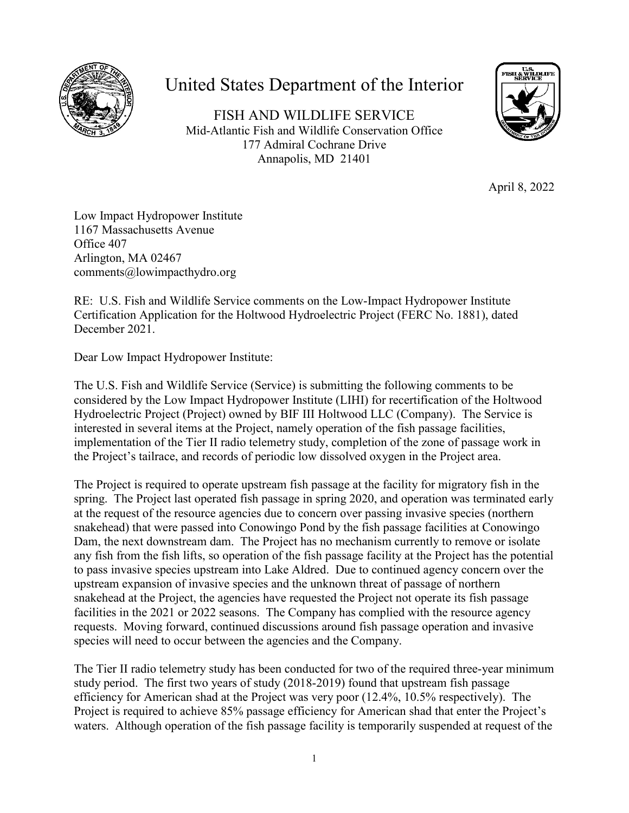

## United States Department of the Interior

FISH AND WILDLIFE SERVICE Mid-Atlantic Fish and Wildlife Conservation Office 177 Admiral Cochrane Drive Annapolis, MD 21401



April 8, 2022

Low Impact Hydropower Institute 1167 Massachusetts Avenue Office 407 Arlington, MA 02467 comments@lowimpacthydro.org

RE: U.S. Fish and Wildlife Service comments on the Low-Impact Hydropower Institute Certification Application for the Holtwood Hydroelectric Project (FERC No. 1881), dated December 2021.

Dear Low Impact Hydropower Institute:

The U.S. Fish and Wildlife Service (Service) is submitting the following comments to be considered by the Low Impact Hydropower Institute (LIHI) for recertification of the Holtwood Hydroelectric Project (Project) owned by BIF III Holtwood LLC (Company). The Service is interested in several items at the Project, namely operation of the fish passage facilities, implementation of the Tier II radio telemetry study, completion of the zone of passage work in the Project's tailrace, and records of periodic low dissolved oxygen in the Project area.

The Project is required to operate upstream fish passage at the facility for migratory fish in the spring. The Project last operated fish passage in spring 2020, and operation was terminated early at the request of the resource agencies due to concern over passing invasive species (northern snakehead) that were passed into Conowingo Pond by the fish passage facilities at Conowingo Dam, the next downstream dam. The Project has no mechanism currently to remove or isolate any fish from the fish lifts, so operation of the fish passage facility at the Project has the potential to pass invasive species upstream into Lake Aldred. Due to continued agency concern over the upstream expansion of invasive species and the unknown threat of passage of northern snakehead at the Project, the agencies have requested the Project not operate its fish passage facilities in the 2021 or 2022 seasons. The Company has complied with the resource agency requests. Moving forward, continued discussions around fish passage operation and invasive species will need to occur between the agencies and the Company.

The Tier II radio telemetry study has been conducted for two of the required three-year minimum study period. The first two years of study (2018-2019) found that upstream fish passage efficiency for American shad at the Project was very poor (12.4%, 10.5% respectively). The Project is required to achieve 85% passage efficiency for American shad that enter the Project's waters. Although operation of the fish passage facility is temporarily suspended at request of the